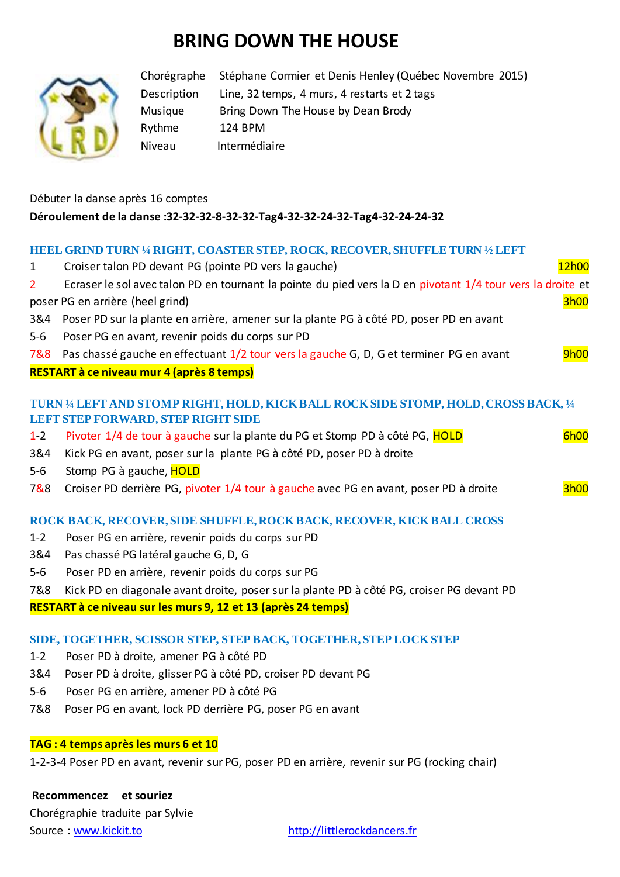## **BRING DOWN THE HOUSE**



Chorégraphe Stéphane Cormier et Denis Henley (Québec Novembre 2015) Description Line, 32 temps, 4 murs, 4 restarts et 2 tags Musique Bring Down The House by Dean Brody Rythme 124 BPM Niveau Intermédiaire

## Débuter la danse après 16 comptes **Déroulement de la danse :32-32-32-8-32-32-Tag4-32-32-24-32-Tag4-32-24-24-32**

## **HEEL GRIND TURN ¼ RIGHT, COASTER STEP, ROCK, RECOVER, SHUFFLE TURN ½ LEFT**

| $\mathbf{1}$   | Croiser talon PD devant PG (pointe PD vers la gauche)                                                                              | 12h00       |
|----------------|------------------------------------------------------------------------------------------------------------------------------------|-------------|
| $\overline{2}$ | Ecraser le sol avec talon PD en tournant la pointe du pied vers la D en pivotant 1/4 tour vers la droite et                        |             |
|                | poser PG en arrière (heel grind)                                                                                                   | 3h00        |
| 3&4            | Poser PD sur la plante en arrière, amener sur la plante PG à côté PD, poser PD en avant                                            |             |
| $5-6$          | Poser PG en avant, revenir poids du corps sur PD                                                                                   |             |
| 7&8            | Pas chassé gauche en effectuant 1/2 tour vers la gauche G, D, G et terminer PG en avant                                            | <b>9h00</b> |
|                | RESTART à ce niveau mur 4 (après 8 temps)                                                                                          |             |
|                | TURN 1/4 LEFT AND STOMP RIGHT, HOLD, KICK BALL ROCK SIDE STOMP, HOLD, CROSS BACK, 1/4<br><b>LEFT STEP FORWARD, STEP RIGHT SIDE</b> |             |
| $1-2$          | Pivoter 1/4 de tour à gauche sur la plante du PG et Stomp PD à côté PG, HOLD                                                       | <b>6h00</b> |
| 3&4            | Kick PG en avant, poser sur la plante PG à côté PD, poser PD à droite                                                              |             |
| $5-6$          | Stomp PG à gauche, HOLD                                                                                                            |             |
| 7&8            | Croiser PD derrière PG, pivoter 1/4 tour à gauche avec PG en avant, poser PD à droite                                              | <b>3h00</b> |
|                | ROCK BACK, RECOVER, SIDE SHUFFLE, ROCK BACK, RECOVER, KICK BALL CROSS                                                              |             |
| $1 - 2$        | Poser PG en arrière, revenir poids du corps sur PD                                                                                 |             |
| 3&4            | Pas chassé PG latéral gauche G, D, G                                                                                               |             |
| $5-6$          | Poser PD en arrière, revenir poids du corps sur PG                                                                                 |             |
| 7&8            | Kick PD en diagonale avant droite, poser sur la plante PD à côté PG, croiser PG devant PD                                          |             |
|                | RESTART à ce niveau sur les murs 9, 12 et 13 (après 24 temps)                                                                      |             |
|                | SIDE, TOGETHER, SCISSOR STEP, STEP BACK, TOGETHER, STEP LOCK STEP                                                                  |             |
| $1 - 2$        | Poser PD à droite, amener PG à côté PD                                                                                             |             |
| 3&4            | Poser PD à droite, glisser PG à côté PD, croiser PD devant PG                                                                      |             |
| $5-6$          | Poser PG en arrière, amener PD à côté PG                                                                                           |             |
| 7&8            | Poser PG en avant, lock PD derrière PG, poser PG en avant                                                                          |             |
|                |                                                                                                                                    |             |

## **TAG : 4 temps après les murs 6 et 10**

1-2-3-4 Poser PD en avant, revenir sur PG, poser PD en arrière, revenir sur PG (rocking chair)

**Recommencez et souriez** Chorégraphie traduite par Sylvie

Source : [www.kickit.to](http://www.kickit.to/) [http://littlerockdancers.fr](http://littlerockdancers.fr/)